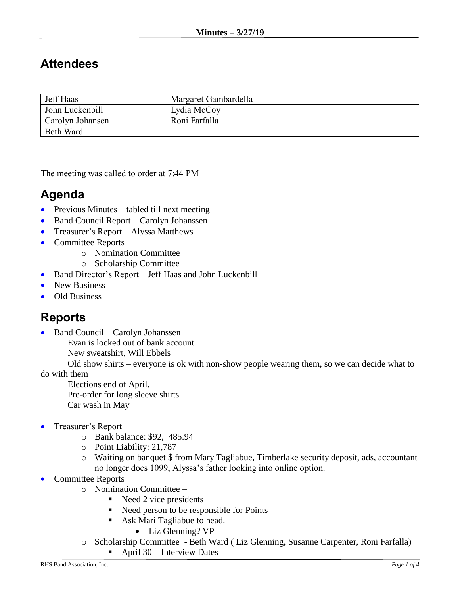## **Attendees**

| Jeff Haas        | Margaret Gambardella |  |
|------------------|----------------------|--|
| John Luckenbill  | Lydia McCoy          |  |
| Carolyn Johansen | Roni Farfalla        |  |
| <b>Beth Ward</b> |                      |  |

The meeting was called to order at 7:44 PM

## **Agenda**

- Previous Minutes tabled till next meeting
- Band Council Report Carolyn Johanssen
- Treasurer's Report Alyssa Matthews
- Committee Reports
	- o Nomination Committee
	- o Scholarship Committee
- Band Director's Report Jeff Haas and John Luckenbill
- New Business
- Old Business

## **Reports**

- Band Council Carolyn Johanssen
	- Evan is locked out of bank account
	- New sweatshirt, Will Ebbels

Old show shirts – everyone is ok with non-show people wearing them, so we can decide what to do with them

Elections end of April. Pre-order for long sleeve shirts Car wash in May

- Treasurer's Report
	- o Bank balance: \$92, 485.94
	- o Point Liability: 21,787
	- o Waiting on banquet \$ from Mary Tagliabue, Timberlake security deposit, ads, accountant no longer does 1099, Alyssa's father looking into online option.
- Committee Reports
	- o Nomination Committee
		- $\blacksquare$  Need 2 vice presidents
		- Need person to be responsible for Points
		- **Ask Mari Tagliabue to head.** 
			- Liz Glenning? VP
	- o Scholarship Committee Beth Ward ( Liz Glenning, Susanne Carpenter, Roni Farfalla)
		- April  $30$  Interview Dates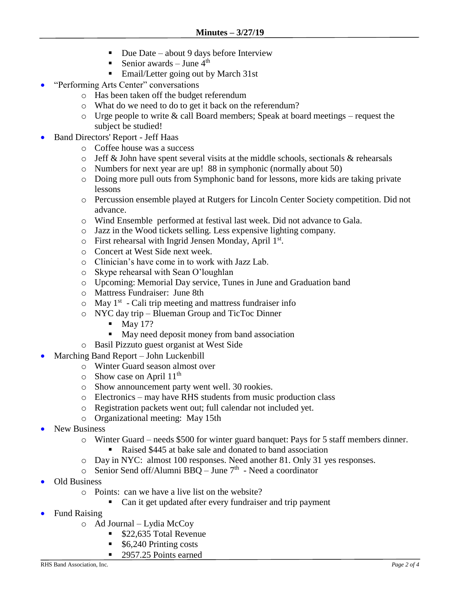- Due Date about 9 days before Interview
- Senior awards June  $4^{\text{th}}$
- Email/Letter going out by March 31st
- "Performing Arts Center" conversations
	- o Has been taken off the budget referendum
	- o What do we need to do to get it back on the referendum?
	- $\circ$  Urge people to write & call Board members; Speak at board meetings request the subject be studied!
- Band Directors' Report Jeff Haas
	- o Coffee house was a success
	- $\circ$  Jeff & John have spent several visits at the middle schools, sectionals & rehearsals
	- o Numbers for next year are up! 88 in symphonic (normally about 50)
	- o Doing more pull outs from Symphonic band for lessons, more kids are taking private lessons
	- o Percussion ensemble played at Rutgers for Lincoln Center Society competition. Did not advance.
	- o Wind Ensemble performed at festival last week. Did not advance to Gala.
	- o Jazz in the Wood tickets selling. Less expensive lighting company.
	- o First rehearsal with Ingrid Jensen Monday, April 1<sup>st</sup>.
	- o Concert at West Side next week.
	- o Clinician's have come in to work with Jazz Lab.
	- o Skype rehearsal with Sean O'loughlan
	- o Upcoming: Memorial Day service, Tunes in June and Graduation band
	- o Mattress Fundraiser: June 8th
	- $\circ$  May 1<sup>st</sup> Cali trip meeting and mattress fundraiser info
	- o NYC day trip Blueman Group and TicToc Dinner
		- $\blacksquare$  May 17?
		- May need deposit money from band association
	- o Basil Pizzuto guest organist at West Side
- Marching Band Report John Luckenbill
	- o Winter Guard season almost over
	- $\circ$  Show case on April 11<sup>th</sup>
	- o Show announcement party went well. 30 rookies.
	- o Electronics may have RHS students from music production class
	- o Registration packets went out; full calendar not included yet.
	- o Organizational meeting: May 15th
- New Business
	- o Winter Guard needs \$500 for winter guard banquet: Pays for 5 staff members dinner.
		- Raised \$445 at bake sale and donated to band association
	- o Day in NYC: almost 100 responses. Need another 81. Only 31 yes responses.
	- $\circ$  Senior Send off/Alumni BBQ June 7<sup>th</sup> Need a coordinator
- Old Business
	- o Points: can we have a live list on the website?
		- Can it get updated after every fundraiser and trip payment
- Fund Raising
	- o Ad Journal Lydia McCoy
		- \$22,635 Total Revenue
		- \$6,240 Printing costs
		- 2957.25 Points earned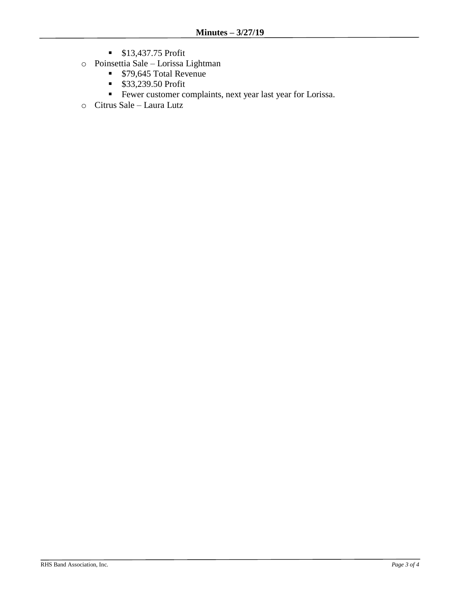- **\$13,437.75 Profit**
- o Poinsettia Sale Lorissa Lightman
	- \$79,645 Total Revenue
	- **\$33,239.50 Profit**
	- Fewer customer complaints, next year last year for Lorissa.
- o Citrus Sale Laura Lutz